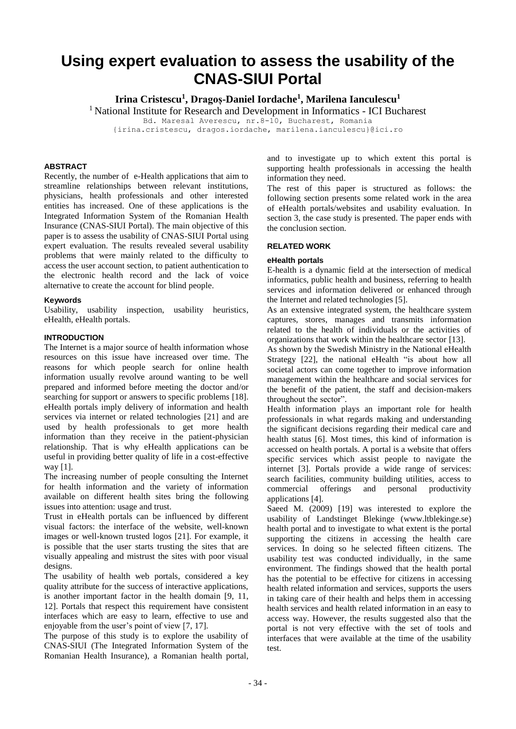# **Using expert evaluation to assess the usability of the CNAS-SIUI Portal**

**Irina Cristescu<sup>1</sup> , Dragoș-Daniel Iordache<sup>1</sup> , Marilena Ianculescu<sup>1</sup>**

<sup>1</sup> National Institute for Research and Development in Informatics - ICI Bucharest

Bd. Maresal Averescu, nr.8-10, Bucharest, Romania

{irina.cristescu, dragos.iordache, marilena.ianculescu}@ici.ro

# **ABSTRACT**

Recently, the number of e-Health applications that aim to streamline relationships between relevant institutions, physicians, health professionals and other interested entities has increased. One of these applications is the Integrated Information System of the Romanian Health Insurance (CNAS-SIUI Portal). The main objective of this paper is to assess the usability of CNAS-SIUI Portal using expert evaluation. The results revealed several usability problems that were mainly related to the difficulty to access the user account section, to patient authentication to the electronic health record and the lack of voice alternative to create the account for blind people.

# **Keywords**

Usability, usability inspection, usability heuristics, eHealth, eHealth portals.

# **INTRODUCTION**

The Internet is a major source of health information whose resources on this issue have increased over time. The reasons for which people search for online health information usually revolve around wanting to be well prepared and informed before meeting the doctor and/or searching for support or answers to specific problems [18]. eHealth portals imply delivery of information and health services via internet or related technologies [21] and are used by health professionals to get more health information than they receive in the patient-physician relationship. That is why eHealth applications can be useful in providing better quality of life in a cost-effective way [1].

The increasing number of people consulting the Internet for health information and the variety of information available on different health sites bring the following issues into attention: usage and trust.

Trust in eHealth portals can be influenced by different visual factors: the interface of the website, well-known images or well-known trusted logos [21]. For example, it is possible that the user starts trusting the sites that are visually appealing and mistrust the sites with poor visual designs.

The usability of health web portals, considered a key quality attribute for the success of interactive applications, is another important factor in the health domain [9, 11, 12]. Portals that respect this requirement have consistent interfaces which are easy to learn, effective to use and enjoyable from the user's point of view [7, 17].

The purpose of this study is to explore the usability of CNAS-SIUI (The Integrated Information System of the Romanian Health Insurance), a Romanian health portal, and to investigate up to which extent this portal is supporting health professionals in accessing the health information they need.

The rest of this paper is structured as follows: the following section presents some related work in the area of eHealth portals/websites and usability evaluation. In section 3, the case study is presented. The paper ends with the conclusion section.

## **RELATED WORK**

# **eHealth portals**

E-health is a dynamic field at the intersection of medical informatics, public health and business, referring to health services and information delivered or enhanced through the Internet and related technologies [5].

As an extensive integrated system, the healthcare system captures, stores, manages and transmits information related to the health of individuals or the activities of organizations that work within the healthcare sector [13].

As shown by the Swedish Ministry in the National eHealth Strategy [22], the national eHealth "is about how all societal actors can come together to improve information management within the healthcare and social services for the benefit of the patient, the staff and decision-makers throughout the sector".

Health information plays an important role for health professionals in what regards making and understanding the significant decisions regarding their medical care and health status [6]. Most times, this kind of information is accessed on health portals. A portal is a website that offers specific services which assist people to navigate the internet [3]. Portals provide a wide range of services: search facilities, community building utilities, access to commercial offerings and personal productivity applications [4].

Saeed M. (2009) [19] was interested to explore the usability of Landstinget Blekinge (www.ltblekinge.se) health portal and to investigate to what extent is the portal supporting the citizens in accessing the health care services. In doing so he selected fifteen citizens. The usability test was conducted individually, in the same environment. The findings showed that the health portal has the potential to be effective for citizens in accessing health related information and services, supports the users in taking care of their health and helps them in accessing health services and health related information in an easy to access way. However, the results suggested also that the portal is not very effective with the set of tools and interfaces that were available at the time of the usability test.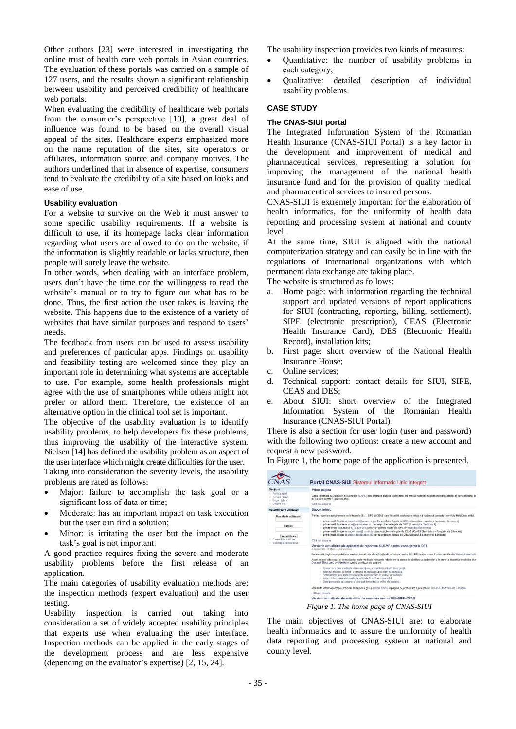Other authors [23] were interested in investigating the online trust of health care web portals in Asian countries. The evaluation of these portals was carried on a sample of 127 users, and the results shown a significant relationship between usability and perceived credibility of healthcare web portals.

When evaluating the credibility of healthcare web portals from the consumer's perspective [10], a great deal of influence was found to be based on the overall visual appeal of the sites. Healthcare experts emphasized more on the name reputation of the sites, site operators or affiliates, information source and company motives. The authors underlined that in absence of expertise, consumers tend to evaluate the credibility of a site based on looks and ease of use.

# **Usability evaluation**

For a website to survive on the Web it must answer to some specific usability requirements. If a website is difficult to use, if its homepage lacks clear information regarding what users are allowed to do on the website, if the information is slightly readable or lacks structure, then people will surely leave the website.

In other words, when dealing with an interface problem, users don't have the time nor the willingness to read the website's manual or to try to figure out what has to be done. Thus, the first action the user takes is leaving the website. This happens due to the existence of a variety of websites that have similar purposes and respond to users' needs.

The feedback from users can be used to assess usability and preferences of particular apps. Findings on usability and feasibility testing are welcomed since they play an important role in determining what systems are acceptable to use. For example, some health professionals might agree with the use of smartphones while others might not prefer or afford them. Therefore, the existence of an alternative option in the clinical tool set is important.

The objective of the usability evaluation is to identify usability problems, to help developers fix these problems, thus improving the usability of the interactive system. Nielsen [14] has defined the usability problem as an aspect of the user interface which might create difficulties for the user.

Taking into consideration the severity levels, the usability problems are rated as follows:

- Major: failure to accomplish the task goal or a significant loss of data or time;
- Moderate: has an important impact on task execution but the user can find a solution;
- Minor: is irritating the user but the impact on the task's goal is not important.

A good practice requires fixing the severe and moderate usability problems before the first release of an application.

The main categories of usability evaluation methods are: the inspection methods (expert evaluation) and the user testing.

Usability inspection is carried out taking into consideration a set of widely accepted usability principles that experts use when evaluating the user interface. Inspection methods can be applied in the early stages of the development process and are less expensive (depending on the evaluator's expertise) [2, 15, 24].

The usability inspection provides two kinds of measures:

- Quantitative: the number of usability problems in each category;
- Qualitative: detailed description of individual usability problems.

# **CASE STUDY**

## **The CNAS-SIUI portal**

The Integrated Information System of the Romanian Health Insurance (CNAS-SIUI Portal) is a key factor in the development and improvement of medical and pharmaceutical services, representing a solution for improving the management of the national health insurance fund and for the provision of quality medical and pharmaceutical services to insured persons.

CNAS-SIUI is extremely important for the elaboration of health informatics, for the uniformity of health data reporting and processing system at national and county level.

At the same time, SIUI is aligned with the national computerization strategy and can easily be in line with the regulations of international organizations with which permanent data exchange are taking place.

The website is structured as follows:

- a. Home page: with information regarding the technical support and updated versions of report applications for SIUI (contracting, reporting, billing, settlement), SIPE (electronic prescription), CEAS (Electronic Health Insurance Card), DES (Electronic Health Record), installation kits;
- b. First page: short overview of the National Health Insurance House;
- c. Online services;
- d. Technical support: contact details for SIUI, SIPE, CEAS and DES;
- e. About SIUI: short overview of the Integrated Information System of the Romanian Health Insurance (CNAS-SIUI Portal).

There is also a section for user login (user and password) with the following two options: create a new account and request a new password.

In Figure 1, the home page of the application is presented.

| Sectiuni<br>Prima paginà<br>C. Servicii online<br>Suport tehnic<br><b>Despre SIUI</b>                  | Prima pagina<br>Casa Nationala de Asigurari de Sanatate (CNAS) este institutie publica, autonoma, de interes national, cu personalitate juridica, al carei principal ob<br>sociale de sanatate din Romania<br>Cititi mai departe                                                                                                                                                                                                                                                                                                                                                                                                                                                                                                                                                                                                                                                                                                                                                                                                                                                                                                                                                                                                                                                   |
|--------------------------------------------------------------------------------------------------------|------------------------------------------------------------------------------------------------------------------------------------------------------------------------------------------------------------------------------------------------------------------------------------------------------------------------------------------------------------------------------------------------------------------------------------------------------------------------------------------------------------------------------------------------------------------------------------------------------------------------------------------------------------------------------------------------------------------------------------------------------------------------------------------------------------------------------------------------------------------------------------------------------------------------------------------------------------------------------------------------------------------------------------------------------------------------------------------------------------------------------------------------------------------------------------------------------------------------------------------------------------------------------------|
| Autentificare utilizatori                                                                              | Suport tehnic                                                                                                                                                                                                                                                                                                                                                                                                                                                                                                                                                                                                                                                                                                                                                                                                                                                                                                                                                                                                                                                                                                                                                                                                                                                                      |
| Numele de utilizator: 1<br>Parola:<br>Autontificare<br>Creează un cont nou<br>Solicitati o parolă nouă | Pentru rezolvarea problemelor referitoare la SIUI, SIPE si CEAS care necesità asistentà tehnicà, và rugàm să contactati serviciul HelpDesk astfel:<br>prin e-mail, la adresa suport siui@casan ro, pentru probleme legate de SIUI (contractare, raportare, facturare, decontare)<br>o prin e-mail, la adresa sipe@euroanswer.ro, pentru probleme legate de SIPE (Prescriptia Electronică)<br>o prin telefon, la numărul 0372-129-853, pentru probleme legate de SIPE (Prescriptia Electronică)<br>prin e-mail. la adresa suport ceas@casan ro, pentru probleme legate de CEAS (Cardul Electronic de Asigurâri de Sânâtate)<br>prin e-mail, la adresa suport des@casan ro, pentru probleme legate de DES (Dosarul Electronic de Sânătate)<br>Cititi mai departe<br>Versiune actualizată ale aplicatiei de raportare SIUI-MF pentru conectarea la DES<br>4 Aprile 2018 - 9 31am - Administrator<br>Pe această pagină sunt publicate versiuni actualizate ale aplicatiei de raportare pentru SIUI-MF pentru accesul la informatiile din Sistemul Informati<br>Acest sistem colectează și consolidează date medicale relevante referitoare la starea de sănătate a pacientilor și le pune la dispozitia medicilor atur<br>Dosarul Electronic de Sánátate contine următoarele sectiuni: |
|                                                                                                        | · Sumarul cu date medicale vitale esentiale - accesibil în situatii de urgentă<br>· Istoricul medical complet - o viziune generală asupra stării de sănătate<br>Antecedente declarate medicului de câtre pacient în cadrul consultatiei<br>· Istoricul documentelor medicale arhivate în ordine cronologică<br>· Date personale securizate si care pot fi modificate online de pacienti<br>Mai multe informatii despre projectul DES puteti găsi pe siteul CNAS în pagina de prezentare a projectului: Dosarul Electronic de Sănătate<br>Citti mai departe<br>Versiuni actualizate ale anlicatiilor de raportare pentru SIUI+SIPF+CFAS                                                                                                                                                                                                                                                                                                                                                                                                                                                                                                                                                                                                                                             |

*Figure of CNAS-SIU* 

The main objectives of CNAS-SIUI are: to elaborate health informatics and to assure the uniformity of health data reporting and processing system at national and county level.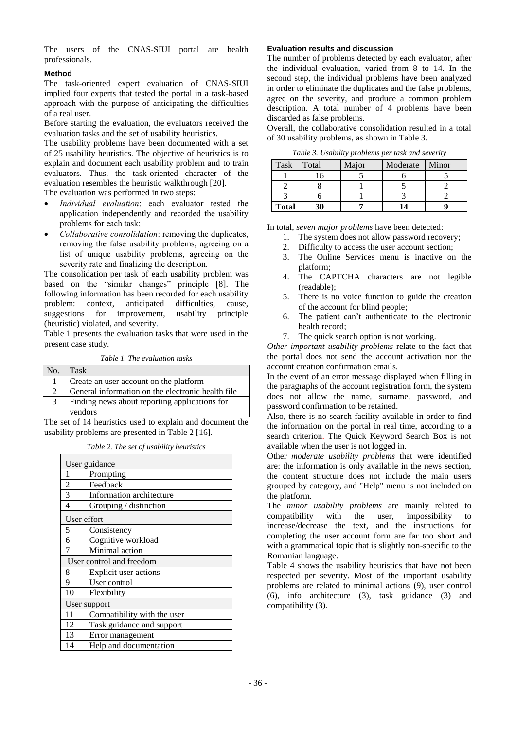The users of the CNAS-SIUI portal are health professionals.

## **Method**

The task-oriented expert evaluation of CNAS-SIUI implied four experts that tested the portal in a task-based approach with the purpose of anticipating the difficulties of a real user.

Before starting the evaluation, the evaluators received the evaluation tasks and the set of usability heuristics.

The usability problems have been documented with a set of 25 usability heuristics. The objective of heuristics is to explain and document each usability problem and to train evaluators. Thus, the task-oriented character of the evaluation resembles the heuristic walkthrough [20].

The evaluation was performed in two steps:

- *Individual evaluation*: each evaluator tested the application independently and recorded the usability problems for each task;
- *Collaborative consolidation*: removing the duplicates, removing the false usability problems, agreeing on a list of unique usability problems, agreeing on the severity rate and finalizing the description.

The consolidation per task of each usability problem was based on the "similar changes" principle [8]. The following information has been recorded for each usability problem: context, anticipated difficulties, cause, suggestions for improvement, usability principle suggestions for improvement, usability principle (heuristic) violated, and severity.

Table 1 presents the evaluation tasks that were used in the present case study.

*Table 1. The evaluation tasks*

| No. | Task                                              |
|-----|---------------------------------------------------|
|     | Create an user account on the platform            |
|     | General information on the electronic health file |
| 3   | Finding news about reporting applications for     |
|     | vendors                                           |

The set of 14 heuristics used to explain and document the usability problems are presented in Table 2 [16].

*Table 2. The set of usability heuristics*

|                | User guidance               |  |  |  |
|----------------|-----------------------------|--|--|--|
| 1              | Prompting                   |  |  |  |
| $\overline{2}$ | Feedback                    |  |  |  |
| 3              | Information architecture    |  |  |  |
| $\overline{4}$ | Grouping / distinction      |  |  |  |
| User effort    |                             |  |  |  |
| 5              | Consistency                 |  |  |  |
| 6              | Cognitive workload          |  |  |  |
| 7              | Minimal action              |  |  |  |
|                | User control and freedom    |  |  |  |
| 8              | Explicit user actions       |  |  |  |
| 9              | User control                |  |  |  |
| 10             | Flexibility                 |  |  |  |
| User support   |                             |  |  |  |
| 11             | Compatibility with the user |  |  |  |
| 12             | Task guidance and support   |  |  |  |
| 13             | Error management            |  |  |  |
| 14             | Help and documentation      |  |  |  |

#### **Evaluation results and discussion**

The number of problems detected by each evaluator, after the individual evaluation, varied from 8 to 14. In the second step, the individual problems have been analyzed in order to eliminate the duplicates and the false problems, agree on the severity, and produce a common problem description. A total number of 4 problems have been discarded as false problems.

Overall, the collaborative consolidation resulted in a total of 30 usability problems, as shown in Table 3.

|  | Table 3. Usability problems per task and severity |  |  |  |  |
|--|---------------------------------------------------|--|--|--|--|
|--|---------------------------------------------------|--|--|--|--|

| Task         | Total | Major | Moderate | Minor |
|--------------|-------|-------|----------|-------|
|              |       |       |          |       |
|              |       |       |          |       |
|              |       |       |          |       |
| <b>Total</b> |       |       | 14       |       |

In total, *seven major problems* have been detected:

- 1. The system does not allow password recovery;<br>2. Difficulty to access the user account section:
- Difficulty to access the user account section;
- 3. The Online Services menu is inactive on the platform;
- 4. The CAPTCHA characters are not legible (readable);
- 5. There is no voice function to guide the creation of the account for blind people;
- 6. The patient can't authenticate to the electronic health record;
- 7. The quick search option is not working.

*Other important usability problems* relate to the fact that the portal does not send the account activation nor the account creation confirmation emails.

In the event of an error message displayed when filling in the paragraphs of the account registration form, the system does not allow the name, surname, password, and password confirmation to be retained.

Also, there is no search facility available in order to find the information on the portal in real time, according to a search criterion. The Quick Keyword Search Box is not available when the user is not logged in.

Other *moderate usability problems* that were identified are: the information is only available in the news section, the content structure does not include the main users grouped by category, and "Help" menu is not included on the platform.

The *minor usability problems* are mainly related to compatibility with the user, impossibility to increase/decrease the text, and the instructions for completing the user account form are far too short and with a grammatical topic that is slightly non-specific to the Romanian language.

Table 4 shows the usability heuristics that have not been respected per severity. Most of the important usability problems are related to minimal actions (9), user control (6), info architecture (3), task guidance (3) and compatibility (3).